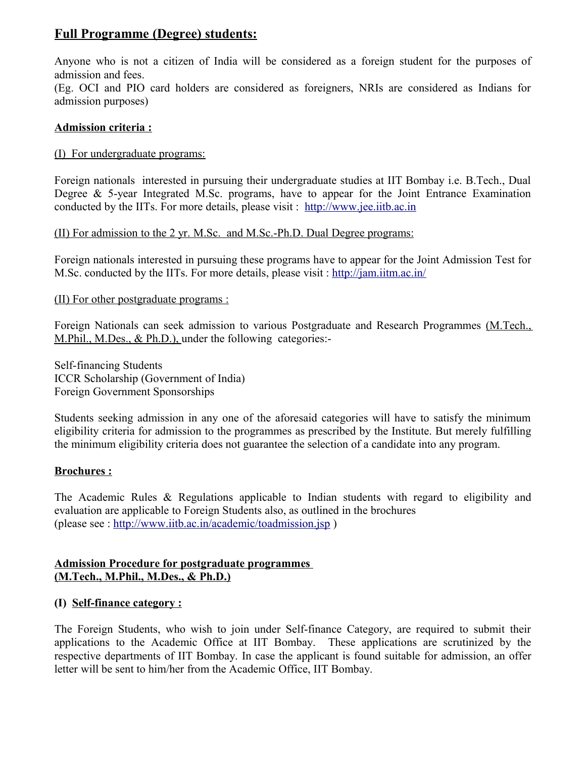# **Full Programme (Degree) students:**

Anyone who is not a citizen of India will be considered as a foreign student for the purposes of admission and fees.

(Eg. OCI and PIO card holders are considered as foreigners, NRIs are considered as Indians for admission purposes)

## **Admission criteria :**

## (I) For undergraduate programs:

Foreign nationals interested in pursuing their undergraduate studies at IIT Bombay i.e. B.Tech., Dual Degree  $\&$  5-year Integrated M.Sc. programs, have to appear for the Joint Entrance Examination conducted by the IITs. For more details, please visit : [http://www.jee.iitb.ac.in](http://www.jee.iitb.ac.in/)

(II) For admission to the 2 yr. M.Sc. and M.Sc.-Ph.D. Dual Degree programs:

Foreign nationals interested in pursuing these programs have to appear for the Joint Admission Test for M.Sc. conducted by the IITs. For more details, please visit :<http://jam.iitm.ac.in/>

(II) For other postgraduate programs :

Foreign Nationals can seek admission to various Postgraduate and Research Programmes (M.Tech., M.Phil., M.Des., & Ph.D.), under the following categories:-

Self-financing Students ICCR Scholarship (Government of India) Foreign Government Sponsorships

Students seeking admission in any one of the aforesaid categories will have to satisfy the minimum eligibility criteria for admission to the programmes as prescribed by the Institute. But merely fulfilling the minimum eligibility criteria does not guarantee the selection of a candidate into any program.

# **Brochures :**

The Academic Rules & Regulations applicable to Indian students with regard to eligibility and evaluation are applicable to Foreign Students also, as outlined in the brochures (please see :<http://www.iitb.ac.in/academic/toadmission.jsp>)

## **Admission Procedure for postgraduate programmes (M.Tech., M.Phil., M.Des., & Ph.D.)**

# **(I) Self-finance category :**

The Foreign Students, who wish to join under Self-finance Category, are required to submit their applications to the Academic Office at IIT Bombay. These applications are scrutinized by the respective departments of IIT Bombay. In case the applicant is found suitable for admission, an offer letter will be sent to him/her from the Academic Office, IIT Bombay.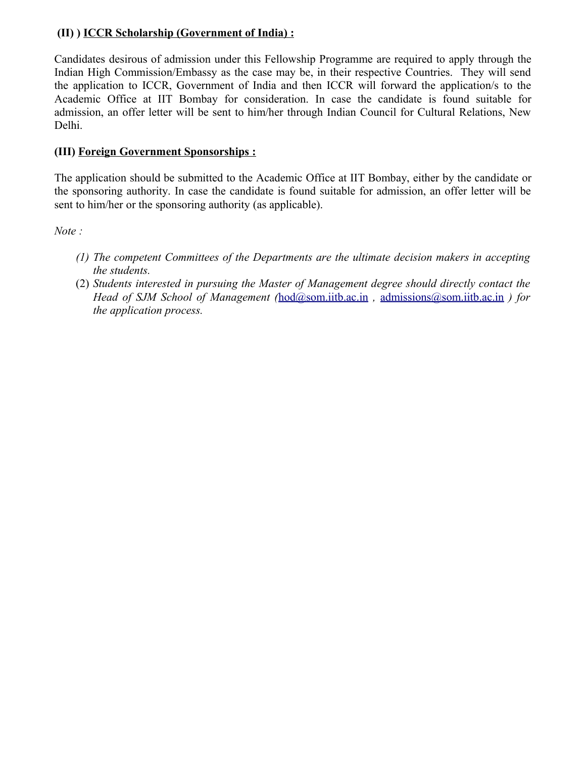# **(II) ) ICCR Scholarship (Government of India) :**

Candidates desirous of admission under this Fellowship Programme are required to apply through the Indian High Commission/Embassy as the case may be, in their respective Countries. They will send the application to ICCR, Government of India and then ICCR will forward the application/s to the Academic Office at IIT Bombay for consideration. In case the candidate is found suitable for admission, an offer letter will be sent to him/her through Indian Council for Cultural Relations, New Delhi.

# **(III) Foreign Government Sponsorships :**

The application should be submitted to the Academic Office at IIT Bombay, either by the candidate or the sponsoring authority. In case the candidate is found suitable for admission, an offer letter will be sent to him/her or the sponsoring authority (as applicable).

*Note :* 

- *(1) The competent Committees of the Departments are the ultimate decision makers in accepting the students.*
- (2) *Students interested in pursuing the Master of Management degree should directly contact the Head of SJM School of Management (*[hod@som.iitb.ac.in](mailto:hod@som.iitb.ac.in) *,* [admissions@som.iitb.ac.in](mailto:admissions@som.iitb.ac.in) *) for the application process.*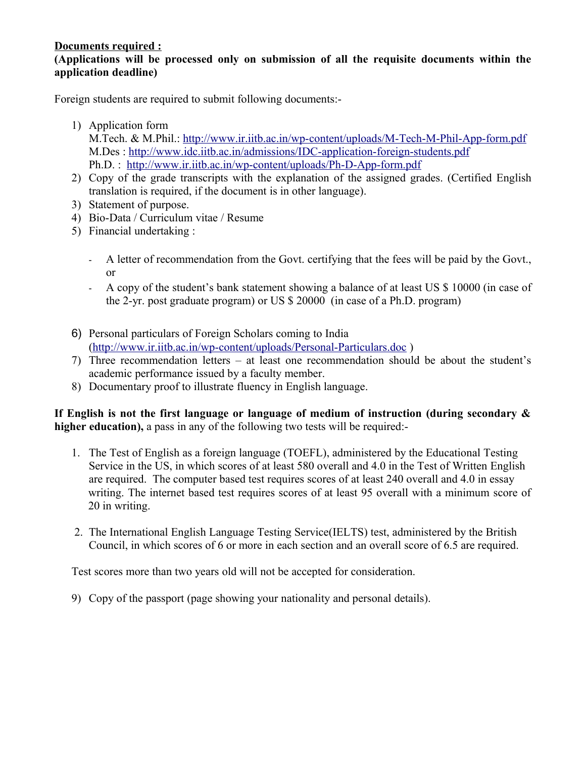# **Documents required :**

## **(Applications will be processed only on submission of all the requisite documents within the application deadline)**

Foreign students are required to submit following documents:-

- 1) Application form
	- M.Tech. & M.Phil.:<http://www.ir.iitb.ac.in/wp-content/uploads/M-Tech-M-Phil-App-form.pdf> M.Des :<http://www.idc.iitb.ac.in/admissions/IDC-application-foreign-students.pdf> Ph.D. : <http://www.ir.iitb.ac.in/wp-content/uploads/Ph-D-App-form.pdf>
- 2) Copy of the grade transcripts with the explanation of the assigned grades. (Certified English translation is required, if the document is in other language).
- 3) Statement of purpose.
- 4) Bio-Data / Curriculum vitae / Resume
- 5) Financial undertaking :
	- A letter of recommendation from the Govt. certifying that the fees will be paid by the Govt., or
	- A copy of the student's bank statement showing a balance of at least US \$ 10000 (in case of the 2-yr. post graduate program) or US \$ 20000 (in case of a Ph.D. program)
- 6) Personal particulars of Foreign Scholars coming to India [\(http://www.ir.iitb.ac.in/wp-content/uploads/Personal-Particulars.doc](http://www.ir.iitb.ac.in/wp-content/uploads/Personal-Particulars.doc) )
- 7) Three recommendation letters at least one recommendation should be about the student's academic performance issued by a faculty member.
- 8) Documentary proof to illustrate fluency in English language.

**If English is not the first language or language of medium of instruction (during secondary & higher education),** a pass in any of the following two tests will be required:-

- 1. The Test of English as a foreign language (TOEFL), administered by the Educational Testing Service in the US, in which scores of at least 580 overall and 4.0 in the Test of Written English are required. The computer based test requires scores of at least 240 overall and 4.0 in essay writing. The internet based test requires scores of at least 95 overall with a minimum score of 20 in writing.
- 2. The International English Language Testing Service(IELTS) test, administered by the British Council, in which scores of 6 or more in each section and an overall score of 6.5 are required.

Test scores more than two years old will not be accepted for consideration.

9) Copy of the passport (page showing your nationality and personal details).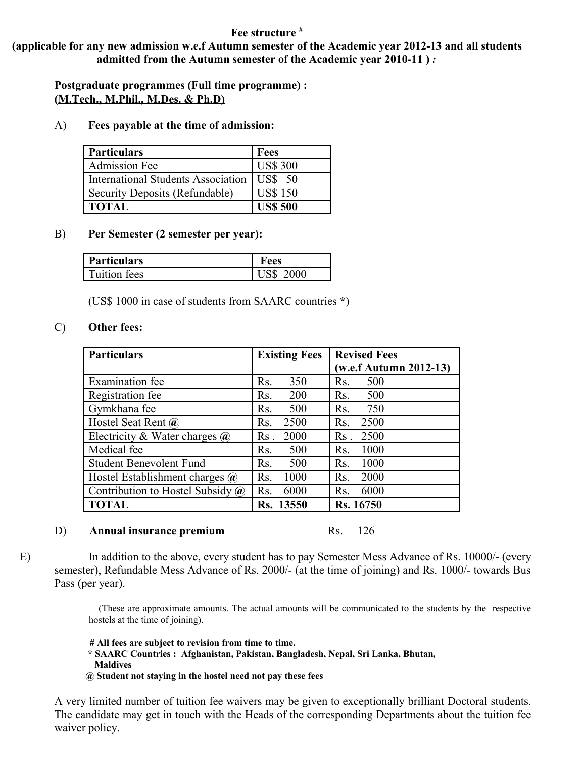#### **Fee structure** *#*

**(applicable for any new admission w.e.f Autumn semester of the Academic year 2012-13 and all students admitted from the Autumn semester of the Academic year 2010-11 )** *:*

**Postgraduate programmes (Full time programme) : (M.Tech., M.Phil., M.Des. & Ph.D)**

A) **Fees payable at the time of admission:**

| <b>Particulars</b>                        | <b>Fees</b>     |
|-------------------------------------------|-----------------|
| <b>Admission Fee</b>                      | <b>US\$ 300</b> |
| <b>International Students Association</b> | US\$<br>- 50    |
| Security Deposits (Refundable)            | <b>US\$ 150</b> |
| <b>TOTAL</b>                              | <b>US\$ 500</b> |

#### B) **Per Semester (2 semester per year):**

| Particulars  | ees  |
|--------------|------|
| Tuition fees | 2000 |

(US\$ 1000 in case of students from SAARC countries **\***)

#### C) **Other fees:**

| <b>Particulars</b>                      | <b>Existing Fees</b>    | <b>Revised Fees</b>       |
|-----------------------------------------|-------------------------|---------------------------|
|                                         |                         | $(w.e.f.$ Autumn 2012-13) |
| Examination fee                         | 350<br>Rs.              | 500<br>R <sub>S</sub> .   |
| Registration fee                        | 200<br>Rs.              | 500<br>Rs.                |
| Gymkhana fee                            | 500<br>R <sub>S</sub> . | 750<br>Rs.                |
| Hostel Seat Rent $\omega$               | 2500<br>Rs.             | 2500<br>Rs.               |
| Electricity & Water charges $\omega$    | 2000<br>Rs.             | 2500<br>$\rm Rs$          |
| Medical fee                             | 500<br>Rs.              | 1000<br>Rs.               |
| <b>Student Benevolent Fund</b>          | 500<br>Rs.              | 1000<br>Rs.               |
| Hostel Establishment charges $\omega$   | 1000<br>Rs.             | 2000<br>Rs.               |
| Contribution to Hostel Subsidy $\omega$ | 6000<br>Rs.             | 6000<br>Rs.               |
| <b>TOTAL</b>                            | Rs. 13550               | Rs. 16750                 |

#### D) **Annual insurance premium** Rs. 126

E) In addition to the above, every student has to pay Semester Mess Advance of Rs. 10000/- (every semester), Refundable Mess Advance of Rs. 2000/- (at the time of joining) and Rs. 1000/- towards Bus Pass (per year).

> (These are approximate amounts. The actual amounts will be communicated to the students by the respective hostels at the time of joining).

 **# All fees are subject to revision from time to time.**

- **\* SAARC Countries : Afghanistan, Pakistan, Bangladesh, Nepal, Sri Lanka, Bhutan, Maldives**
- **@ Student not staying in the hostel need not pay these fees**

A very limited number of tuition fee waivers may be given to exceptionally brilliant Doctoral students. The candidate may get in touch with the Heads of the corresponding Departments about the tuition fee waiver policy.